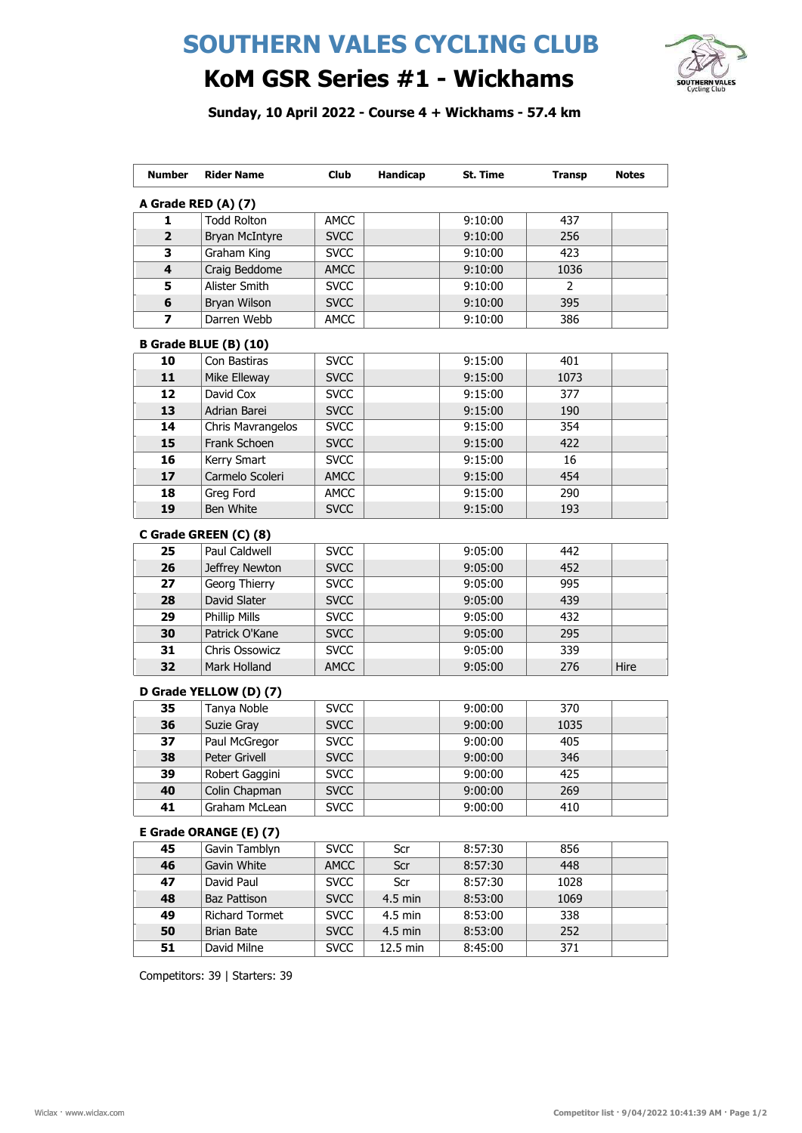## SOUTHERN VALES CYCLING CLUB



## KoM GSR Series #1 - Wickhams

Sunday, 10 April 2022 - Course 4 + Wickhams - 57.4 km

| <b>Number</b>           | <b>Rider Name</b>            | Club        | Handicap  | St. Time | <b>Transp</b>  | <b>Notes</b> |
|-------------------------|------------------------------|-------------|-----------|----------|----------------|--------------|
|                         | A Grade RED (A) (7)          |             |           |          |                |              |
| 1                       | <b>Todd Rolton</b>           | <b>AMCC</b> |           | 9:10:00  | 437            |              |
| $\overline{2}$          | <b>Bryan McIntyre</b>        | <b>SVCC</b> |           | 9:10:00  | 256            |              |
| 3                       | Graham King                  | <b>SVCC</b> |           | 9:10:00  | 423            |              |
| $\overline{\mathbf{4}}$ | Craig Beddome                | <b>AMCC</b> |           | 9:10:00  | 1036           |              |
| 5                       | Alister Smith                | <b>SVCC</b> |           | 9:10:00  | $\overline{2}$ |              |
| 6                       | Bryan Wilson                 | <b>SVCC</b> |           | 9:10:00  | 395            |              |
| 7                       | Darren Webb                  | AMCC        |           | 9:10:00  | 386            |              |
|                         | <b>B Grade BLUE (B) (10)</b> |             |           |          |                |              |
| 10                      | Con Bastiras                 | <b>SVCC</b> |           | 9:15:00  | 401            |              |
| 11                      | Mike Elleway                 | <b>SVCC</b> |           | 9:15:00  | 1073           |              |
| 12                      | David Cox                    | <b>SVCC</b> |           | 9:15:00  | 377            |              |
| 13                      | Adrian Barei                 | <b>SVCC</b> |           | 9:15:00  | 190            |              |
| 14                      | Chris Mavrangelos            | <b>SVCC</b> |           | 9:15:00  | 354            |              |
| 15                      | Frank Schoen                 | <b>SVCC</b> |           | 9:15:00  | 422            |              |
| 16                      | Kerry Smart                  | <b>SVCC</b> |           | 9:15:00  | 16             |              |
| 17                      | Carmelo Scoleri              | <b>AMCC</b> |           | 9:15:00  | 454            |              |
| 18                      | Greg Ford                    | <b>AMCC</b> |           | 9:15:00  | 290            |              |
| 19                      | Ben White                    | <b>SVCC</b> |           | 9:15:00  | 193            |              |
|                         |                              |             |           |          |                |              |
|                         | C Grade GREEN (C) (8)        |             |           |          |                |              |
| 25                      | Paul Caldwell                | <b>SVCC</b> |           | 9:05:00  | 442            |              |
| 26                      | Jeffrey Newton               | <b>SVCC</b> |           | 9:05:00  | 452            |              |
| 27                      | Georg Thierry                | <b>SVCC</b> |           | 9:05:00  | 995            |              |
| 28                      | David Slater                 | <b>SVCC</b> |           | 9:05:00  | 439            |              |
| 29                      | <b>Phillip Mills</b>         | <b>SVCC</b> |           | 9:05:00  | 432            |              |
| 30                      | Patrick O'Kane               | <b>SVCC</b> |           | 9:05:00  | 295            |              |
| 31                      | Chris Ossowicz               | <b>SVCC</b> |           | 9:05:00  | 339            |              |
| 32                      | Mark Holland                 | <b>AMCC</b> |           | 9:05:00  | 276            | Hire         |
|                         | D Grade YELLOW (D) (7)       |             |           |          |                |              |
| 35                      | Tanya Noble                  | <b>SVCC</b> |           | 9:00:00  | 370            |              |
| 36                      | Suzie Gray                   | <b>SVCC</b> |           | 9:00:00  | 1035           |              |
| 37                      | Paul McGregor                | <b>SVCC</b> |           | 9:00:00  | 405            |              |
| 38                      | Peter Grivell                | <b>SVCC</b> |           | 9:00:00  | 346            |              |
| 39                      | Robert Gaggini               | <b>SVCC</b> |           | 9:00:00  | 425            |              |
| 40                      | Colin Chapman                | <b>SVCC</b> |           | 9:00:00  | 269            |              |
| 41                      | Graham McLean                | <b>SVCC</b> |           | 9:00:00  | 410            |              |
|                         | E Grade ORANGE (E) (7)       |             |           |          |                |              |
| 45                      | Gavin Tamblyn                |             |           |          |                |              |
|                         |                              | <b>SVCC</b> | Scr       | 8:57:30  | 856            |              |
| 46                      | Gavin White                  | <b>AMCC</b> | Scr       | 8:57:30  | 448            |              |
| 47                      | David Paul                   | <b>SVCC</b> | Scr       | 8:57:30  | 1028           |              |
| 48                      | Baz Pattison                 | <b>SVCC</b> | 4.5 min   | 8:53:00  | 1069           |              |
| 49                      | <b>Richard Tormet</b>        | <b>SVCC</b> | $4.5$ min | 8:53:00  | 338            |              |
| 50                      | <b>Brian Bate</b>            | <b>SVCC</b> | 4.5 min   | 8:53:00  | 252            |              |
| 51                      | David Milne                  | <b>SVCC</b> | 12.5 min  | 8:45:00  | 371            |              |

Competitors: 39 | Starters: 39